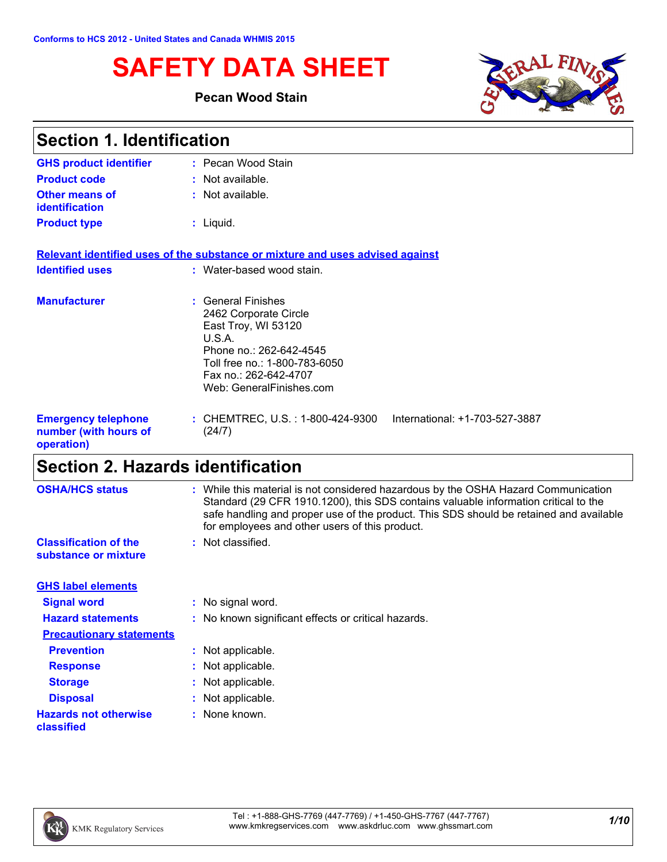# **SAFETY DATA SHEET**

### **Pecan Wood Stain**



| <b>Section 1. Identification</b>                                  |                                                                                                                                                                                               |  |
|-------------------------------------------------------------------|-----------------------------------------------------------------------------------------------------------------------------------------------------------------------------------------------|--|
| <b>GHS product identifier</b>                                     | : Pecan Wood Stain                                                                                                                                                                            |  |
| <b>Product code</b>                                               | : Not available.                                                                                                                                                                              |  |
| <b>Other means of</b><br>identification                           | : Not available.                                                                                                                                                                              |  |
| <b>Product type</b>                                               | $:$ Liquid.                                                                                                                                                                                   |  |
|                                                                   | Relevant identified uses of the substance or mixture and uses advised against                                                                                                                 |  |
| <b>Identified uses</b>                                            | : Water-based wood stain.                                                                                                                                                                     |  |
| <b>Manufacturer</b>                                               | : General Finishes<br>2462 Corporate Circle<br>East Troy, WI 53120<br>U.S.A.<br>Phone no.: 262-642-4545<br>Toll free no.: 1-800-783-6050<br>Fax no.: 262-642-4707<br>Web: GeneralFinishes.com |  |
| <b>Emergency telephone</b><br>number (with hours of<br>operation) | International: +1-703-527-3887<br>: CHEMTREC, U.S. : 1-800-424-9300<br>(24/7)                                                                                                                 |  |

# **Section 2. Hazards identification**

| <b>OSHA/HCS status</b>                               | : While this material is not considered hazardous by the OSHA Hazard Communication<br>Standard (29 CFR 1910.1200), this SDS contains valuable information critical to the<br>safe handling and proper use of the product. This SDS should be retained and available<br>for employees and other users of this product. |
|------------------------------------------------------|-----------------------------------------------------------------------------------------------------------------------------------------------------------------------------------------------------------------------------------------------------------------------------------------------------------------------|
| <b>Classification of the</b><br>substance or mixture | : Not classified.                                                                                                                                                                                                                                                                                                     |
| <b>GHS label elements</b>                            |                                                                                                                                                                                                                                                                                                                       |
| <b>Signal word</b>                                   | : No signal word.                                                                                                                                                                                                                                                                                                     |
| <b>Hazard statements</b>                             | : No known significant effects or critical hazards.                                                                                                                                                                                                                                                                   |
| <b>Precautionary statements</b>                      |                                                                                                                                                                                                                                                                                                                       |
| <b>Prevention</b>                                    | : Not applicable.                                                                                                                                                                                                                                                                                                     |
| <b>Response</b>                                      | : Not applicable.                                                                                                                                                                                                                                                                                                     |
| <b>Storage</b>                                       | : Not applicable.                                                                                                                                                                                                                                                                                                     |
| <b>Disposal</b>                                      | : Not applicable.                                                                                                                                                                                                                                                                                                     |
| <b>Hazards not otherwise</b><br>classified           | : None known.                                                                                                                                                                                                                                                                                                         |
|                                                      |                                                                                                                                                                                                                                                                                                                       |

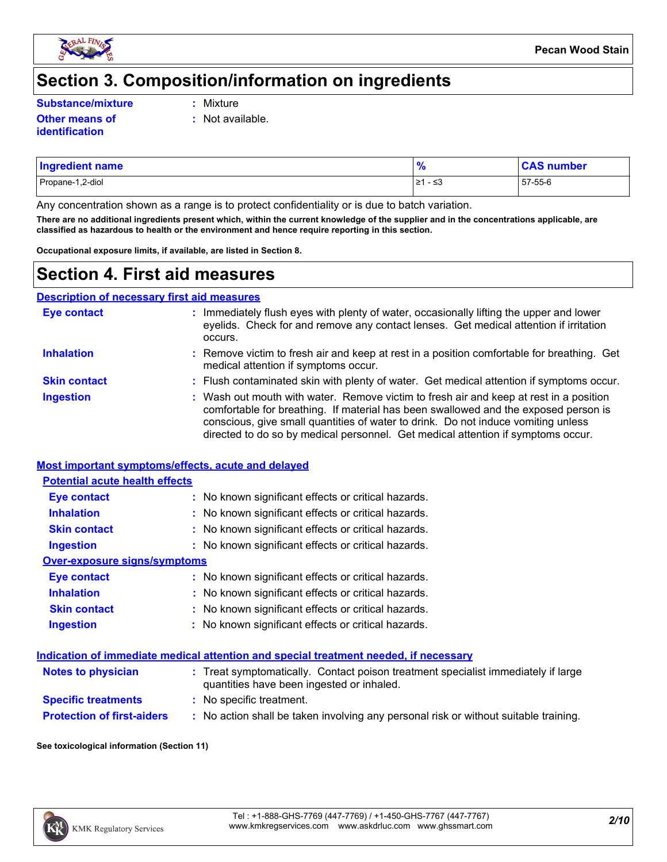

# **Section 3. Composition/information on ingredients**

**Substance/mixture :**

- Mixture
- **Other means of identification**
- **:** Not available.
- Propane-1,2-diol ≥1 ≤3 57-55-6 **Ingredient name % CAS number**

Any concentration shown as a range is to protect confidentiality or is due to batch variation.

**There are no additional ingredients present which, within the current knowledge of the supplier and in the concentrations applicable, are classified as hazardous to health or the environment and hence require reporting in this section.**

**Occupational exposure limits, if available, are listed in Section 8.**

# **Section 4. First aid measures**

**Description of necessary first aid measures**

| <b>Eye contact</b>  | : Immediately flush eyes with plenty of water, occasionally lifting the upper and lower<br>eyelids. Check for and remove any contact lenses. Get medical attention if irritation<br>occurs.                                                                                                                                                            |
|---------------------|--------------------------------------------------------------------------------------------------------------------------------------------------------------------------------------------------------------------------------------------------------------------------------------------------------------------------------------------------------|
| <b>Inhalation</b>   | : Remove victim to fresh air and keep at rest in a position comfortable for breathing. Get<br>medical attention if symptoms occur.                                                                                                                                                                                                                     |
| <b>Skin contact</b> | : Flush contaminated skin with plenty of water. Get medical attention if symptoms occur.                                                                                                                                                                                                                                                               |
| <b>Ingestion</b>    | : Wash out mouth with water. Remove victim to fresh air and keep at rest in a position<br>comfortable for breathing. If material has been swallowed and the exposed person is<br>conscious, give small quantities of water to drink. Do not induce vomiting unless<br>directed to do so by medical personnel. Get medical attention if symptoms occur. |

#### **Most important symptoms/effects, acute and delayed**

| <b>Potential acute health effects</b> |                                                     |  |  |  |
|---------------------------------------|-----------------------------------------------------|--|--|--|
| Eye contact                           | : No known significant effects or critical hazards. |  |  |  |
| <b>Inhalation</b>                     | : No known significant effects or critical hazards. |  |  |  |
| <b>Skin contact</b>                   | : No known significant effects or critical hazards. |  |  |  |
| <b>Ingestion</b>                      | : No known significant effects or critical hazards. |  |  |  |
| Over-exposure signs/symptoms          |                                                     |  |  |  |
| Eye contact                           | : No known significant effects or critical hazards. |  |  |  |
| <b>Inhalation</b>                     | : No known significant effects or critical hazards. |  |  |  |
| <b>Skin contact</b>                   | : No known significant effects or critical hazards. |  |  |  |
| <b>Ingestion</b>                      | : No known significant effects or critical hazards. |  |  |  |

#### **Indication of immediate medical attention and special treatment needed, if necessary**

| <b>Notes to physician</b>         | : Treat symptomatically. Contact poison treatment specialist immediately if large<br>quantities have been ingested or inhaled. |
|-----------------------------------|--------------------------------------------------------------------------------------------------------------------------------|
| <b>Specific treatments</b>        | : No specific treatment.                                                                                                       |
| <b>Protection of first-aiders</b> | No action shall be taken involving any personal risk or without suitable training.                                             |

#### **See toxicological information (Section 11)**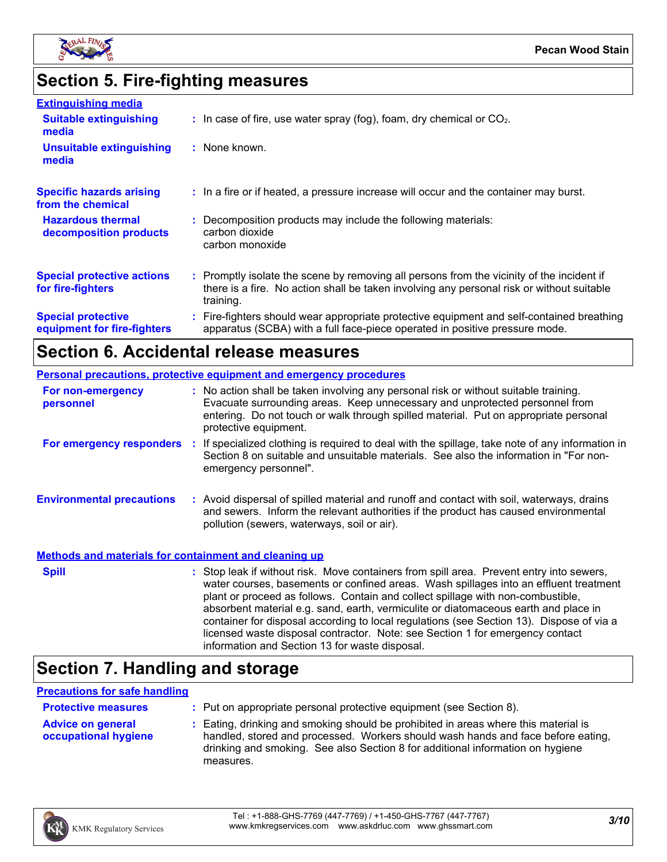

# **Section 5. Fire-fighting measures**

| <b>Extinguishing media</b>                               |                                                                                                                                                                                                     |
|----------------------------------------------------------|-----------------------------------------------------------------------------------------------------------------------------------------------------------------------------------------------------|
| <b>Suitable extinguishing</b><br>media                   | $\therefore$ In case of fire, use water spray (fog), foam, dry chemical or CO <sub>2</sub> .                                                                                                        |
| <b>Unsuitable extinguishing</b><br>media                 | : None known.                                                                                                                                                                                       |
| <b>Specific hazards arising</b><br>from the chemical     | : In a fire or if heated, a pressure increase will occur and the container may burst.                                                                                                               |
| <b>Hazardous thermal</b><br>decomposition products       | : Decomposition products may include the following materials:<br>carbon dioxide<br>carbon monoxide                                                                                                  |
| <b>Special protective actions</b><br>for fire-fighters   | : Promptly isolate the scene by removing all persons from the vicinity of the incident if<br>there is a fire. No action shall be taken involving any personal risk or without suitable<br>training. |
| <b>Special protective</b><br>equipment for fire-fighters | : Fire-fighters should wear appropriate protective equipment and self-contained breathing<br>apparatus (SCBA) with a full face-piece operated in positive pressure mode.                            |

# **Section 6. Accidental release measures**

| <b>Personal precautions, protective equipment and emergency procedures</b> |  |                                                                                                                                                                                                                                                                                                                                                                                                                                                                                                                                                                                            |
|----------------------------------------------------------------------------|--|--------------------------------------------------------------------------------------------------------------------------------------------------------------------------------------------------------------------------------------------------------------------------------------------------------------------------------------------------------------------------------------------------------------------------------------------------------------------------------------------------------------------------------------------------------------------------------------------|
| For non-emergency<br>personnel                                             |  | : No action shall be taken involving any personal risk or without suitable training.<br>Evacuate surrounding areas. Keep unnecessary and unprotected personnel from<br>entering. Do not touch or walk through spilled material. Put on appropriate personal<br>protective equipment.                                                                                                                                                                                                                                                                                                       |
| For emergency responders :                                                 |  | If specialized clothing is required to deal with the spillage, take note of any information in<br>Section 8 on suitable and unsuitable materials. See also the information in "For non-<br>emergency personnel".                                                                                                                                                                                                                                                                                                                                                                           |
| <b>Environmental precautions</b>                                           |  | : Avoid dispersal of spilled material and runoff and contact with soil, waterways, drains<br>and sewers. Inform the relevant authorities if the product has caused environmental<br>pollution (sewers, waterways, soil or air).                                                                                                                                                                                                                                                                                                                                                            |
| <b>Methods and materials for containment and cleaning up</b>               |  |                                                                                                                                                                                                                                                                                                                                                                                                                                                                                                                                                                                            |
| <b>Spill</b>                                                               |  | : Stop leak if without risk. Move containers from spill area. Prevent entry into sewers,<br>water courses, basements or confined areas. Wash spillages into an effluent treatment<br>plant or proceed as follows. Contain and collect spillage with non-combustible,<br>absorbent material e.g. sand, earth, vermiculite or diatomaceous earth and place in<br>container for disposal according to local regulations (see Section 13). Dispose of via a<br>licensed waste disposal contractor. Note: see Section 1 for emergency contact<br>information and Section 13 for waste disposal. |

# **Section 7. Handling and storage**

#### **Precautions for safe handling**

| <b>Protective measures</b>                       | : Put on appropriate personal protective equipment (see Section 8).                                                                                                                                                                                                    |
|--------------------------------------------------|------------------------------------------------------------------------------------------------------------------------------------------------------------------------------------------------------------------------------------------------------------------------|
| <b>Advice on general</b><br>occupational hygiene | : Eating, drinking and smoking should be prohibited in areas where this material is<br>handled, stored and processed. Workers should wash hands and face before eating,<br>drinking and smoking. See also Section 8 for additional information on hygiene<br>measures. |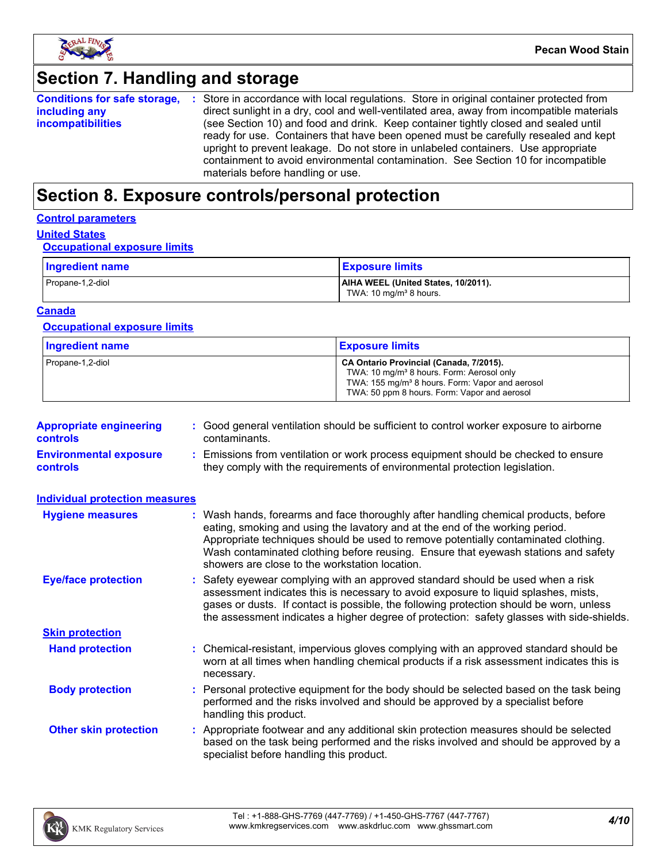

# **Section 7. Handling and storage**

| <b>Conditions for safe storage,</b> | : Store in accordance with local regulations. Store in original container protected from  |
|-------------------------------------|-------------------------------------------------------------------------------------------|
| including any                       | direct sunlight in a dry, cool and well-ventilated area, away from incompatible materials |
| <i>incompatibilities</i>            | (see Section 10) and food and drink. Keep container tightly closed and sealed until       |
|                                     | ready for use. Containers that have been opened must be carefully resealed and kept       |
|                                     | upright to prevent leakage. Do not store in unlabeled containers. Use appropriate         |
|                                     | containment to avoid environmental contamination. See Section 10 for incompatible         |
|                                     | materials before handling or use.                                                         |

# **Section 8. Exposure controls/personal protection**

#### **Control parameters**

### **United States**

#### **Occupational exposure limits**

| Ingredient name  | <b>Exposure limits</b>                                                    |
|------------------|---------------------------------------------------------------------------|
| Propane-1,2-diol | AIHA WEEL (United States, 10/2011).<br>TWA: 10 mg/m <sup>3</sup> 8 hours. |

#### **Canada**

#### **Occupational exposure limits**

| <b>Ingredient name</b> | <b>Exposure limits</b>                                                                                                                                                                                          |
|------------------------|-----------------------------------------------------------------------------------------------------------------------------------------------------------------------------------------------------------------|
| Propane-1,2-diol       | CA Ontario Provincial (Canada, 7/2015).<br>TWA: 10 mg/m <sup>3</sup> 8 hours. Form: Aerosol only<br>TWA: 155 mg/m <sup>3</sup> 8 hours. Form: Vapor and aerosol<br>TWA: 50 ppm 8 hours. Form: Vapor and aerosol |

| <b>Appropriate engineering</b><br><b>controls</b> | : Good general ventilation should be sufficient to control worker exposure to airborne<br>contaminants.                                                          |
|---------------------------------------------------|------------------------------------------------------------------------------------------------------------------------------------------------------------------|
| <b>Environmental exposure</b><br><b>controls</b>  | : Emissions from ventilation or work process equipment should be checked to ensure<br>they comply with the requirements of environmental protection legislation. |

| <b>Individual protection measures</b> |                                                                                                                                                                                                                                                                                                                                                                                                   |
|---------------------------------------|---------------------------------------------------------------------------------------------------------------------------------------------------------------------------------------------------------------------------------------------------------------------------------------------------------------------------------------------------------------------------------------------------|
| <b>Hygiene measures</b>               | : Wash hands, forearms and face thoroughly after handling chemical products, before<br>eating, smoking and using the lavatory and at the end of the working period.<br>Appropriate techniques should be used to remove potentially contaminated clothing.<br>Wash contaminated clothing before reusing. Ensure that eyewash stations and safety<br>showers are close to the workstation location. |
| <b>Eye/face protection</b>            | : Safety eyewear complying with an approved standard should be used when a risk<br>assessment indicates this is necessary to avoid exposure to liquid splashes, mists,<br>gases or dusts. If contact is possible, the following protection should be worn, unless<br>the assessment indicates a higher degree of protection: safety glasses with side-shields.                                    |
| <b>Skin protection</b>                |                                                                                                                                                                                                                                                                                                                                                                                                   |
| <b>Hand protection</b>                | : Chemical-resistant, impervious gloves complying with an approved standard should be<br>worn at all times when handling chemical products if a risk assessment indicates this is<br>necessary.                                                                                                                                                                                                   |
| <b>Body protection</b>                | : Personal protective equipment for the body should be selected based on the task being<br>performed and the risks involved and should be approved by a specialist before<br>handling this product.                                                                                                                                                                                               |
| <b>Other skin protection</b>          | : Appropriate footwear and any additional skin protection measures should be selected<br>based on the task being performed and the risks involved and should be approved by a<br>specialist before handling this product.                                                                                                                                                                         |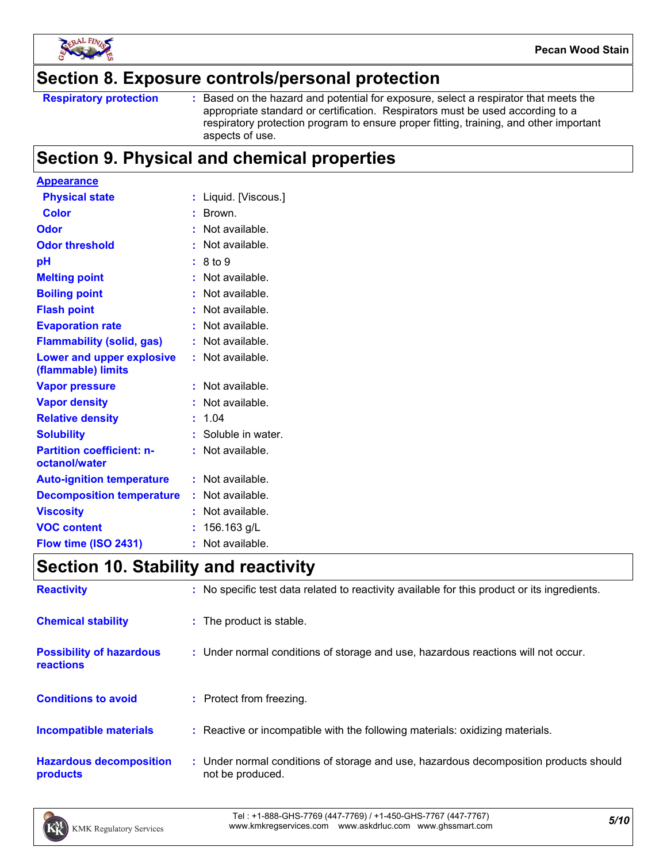

### **Section 8. Exposure controls/personal protection**

Based on the hazard and potential for exposure, select a respirator that meets the appropriate standard or certification. Respirators must be used according to a respiratory protection program to ensure proper fitting, training, and other important aspects of use.

# **Section 9. Physical and chemical properties**

| <b>Appearance</b>                                 |    |                     |
|---------------------------------------------------|----|---------------------|
| <b>Physical state</b>                             |    | Liquid. [Viscous.]  |
| <b>Color</b>                                      |    | Brown.              |
| Odor                                              |    | Not available.      |
| <b>Odor threshold</b>                             |    | Not available.      |
| рH                                                |    | 8 to 9              |
| <b>Melting point</b>                              |    | Not available.      |
| <b>Boiling point</b>                              |    | Not available.      |
| <b>Flash point</b>                                |    | Not available.      |
| <b>Evaporation rate</b>                           |    | Not available.      |
| <b>Flammability (solid, gas)</b>                  |    | Not available.      |
| Lower and upper explosive<br>(flammable) limits   |    | Not available.      |
| <b>Vapor pressure</b>                             |    | Not available.      |
| <b>Vapor density</b>                              |    | Not available.      |
| <b>Relative density</b>                           |    | 1.04                |
| <b>Solubility</b>                                 |    | : Soluble in water. |
| <b>Partition coefficient: n-</b><br>octanol/water |    | Not available.      |
| <b>Auto-ignition temperature</b>                  |    | Not available.      |
| <b>Decomposition temperature</b>                  |    | Not available.      |
| <b>Viscosity</b>                                  |    | Not available.      |
| <b>VOC content</b>                                |    | 156.163 g/L         |
| Flow time (ISO 2431)                              | ř. | Not available.      |

# **Section 10. Stability and reactivity**

| <b>Reactivity</b>                            | : No specific test data related to reactivity available for this product or its ingredients.              |
|----------------------------------------------|-----------------------------------------------------------------------------------------------------------|
| <b>Chemical stability</b>                    | : The product is stable.                                                                                  |
| <b>Possibility of hazardous</b><br>reactions | : Under normal conditions of storage and use, hazardous reactions will not occur.                         |
| <b>Conditions to avoid</b>                   | : Protect from freezing.                                                                                  |
| <b>Incompatible materials</b>                | : Reactive or incompatible with the following materials: oxidizing materials.                             |
| <b>Hazardous decomposition</b><br>products   | : Under normal conditions of storage and use, hazardous decomposition products should<br>not be produced. |

*5/10* Tel : +1-888-GHS-7769 (447-7769) / +1-450-GHS-7767 (447-7767) www.kmkregservices.com www.askdrluc.com www.ghssmart.com

**Respiratory protection :**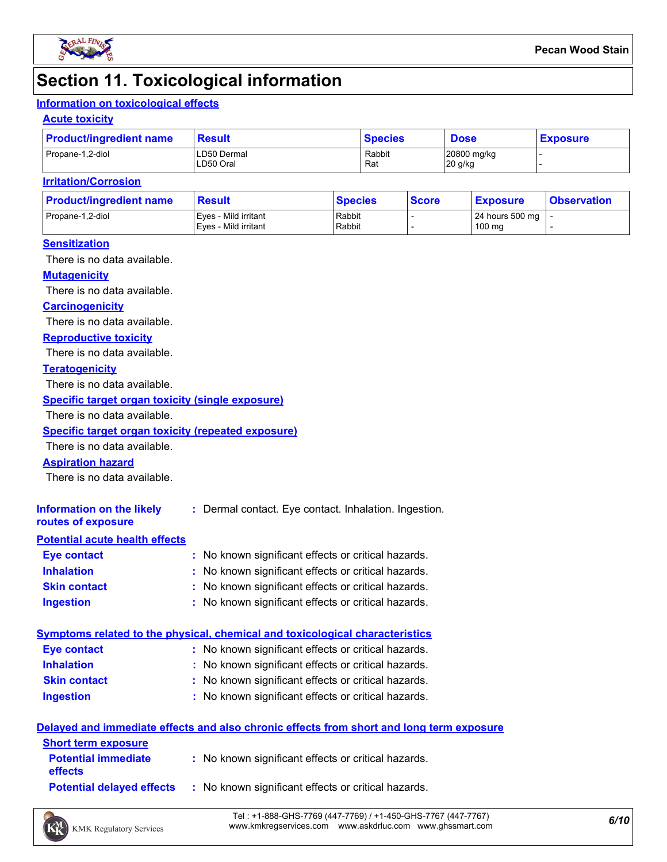

# **Section 11. Toxicological information**

#### **Information on toxicological effects**

#### **Acute toxicity**

| <b>Product/ingredient name</b> | Result                   | <b>Species</b> | <b>Dose</b>            | <b>Exposure</b> |
|--------------------------------|--------------------------|----------------|------------------------|-----------------|
| Propane-1,2-diol               | LD50 Dermal<br>LD50 Oral | Rabbit<br>Rat  | 20800 mg/kg<br>20 g/kg |                 |

#### **Irritation/Corrosion**

| <b>Product/ingredient name</b> | <b>Result</b>                                | <b>Species</b>   | <b>Score</b> | <u>  Exposure</u>         | <b>Observation</b> |
|--------------------------------|----------------------------------------------|------------------|--------------|---------------------------|--------------------|
| Propane-1,2-diol               | Eves - Mild irritant<br>Eves - Mild irritant | Rabbit<br>Rabbit |              | 24 hours 500 mg<br>100 mg |                    |
|                                |                                              |                  |              |                           |                    |

#### **Sensitization**

There is no data available.

#### **Mutagenicity**

There is no data available.

#### **Carcinogenicity**

There is no data available.

#### **Reproductive toxicity**

There is no data available.

#### **Teratogenicity**

There is no data available.

#### **Specific target organ toxicity (single exposure)**

There is no data available.

#### **Specific target organ toxicity (repeated exposure)**

There is no data available.

#### **Aspiration hazard**

There is no data available.

| Information on the likely<br>routes of exposure | : Dermal contact. Eye contact. Inhalation. Ingestion. |
|-------------------------------------------------|-------------------------------------------------------|
| <b>Potential acute health effects</b>           |                                                       |
| Eye contact                                     | : No known significant effects or critical hazards.   |
| <b>Inhalation</b>                               | : No known significant effects or critical hazards.   |
| <b>Skin contact</b>                             | : No known significant effects or critical hazards.   |

#### **Ingestion :** No known significant effects or critical hazards.

|                     | Symptoms related to the physical, chemical and toxicological characteristics |
|---------------------|------------------------------------------------------------------------------|
| <b>Eve contact</b>  | : No known significant effects or critical hazards.                          |
| <b>Inhalation</b>   | : No known significant effects or critical hazards.                          |
| <b>Skin contact</b> | : No known significant effects or critical hazards.                          |

#### **Ingestion** No known significant effects or critical hazards. **:**

#### **Delayed and immediate effects and also chronic effects from short and long term exposure**

| <b>Short term exposure</b>                   |                                                     |
|----------------------------------------------|-----------------------------------------------------|
| <b>Potential immediate</b><br><b>effects</b> | : No known significant effects or critical hazards. |
| <b>Potential delayed effects</b>             | : No known significant effects or critical hazards. |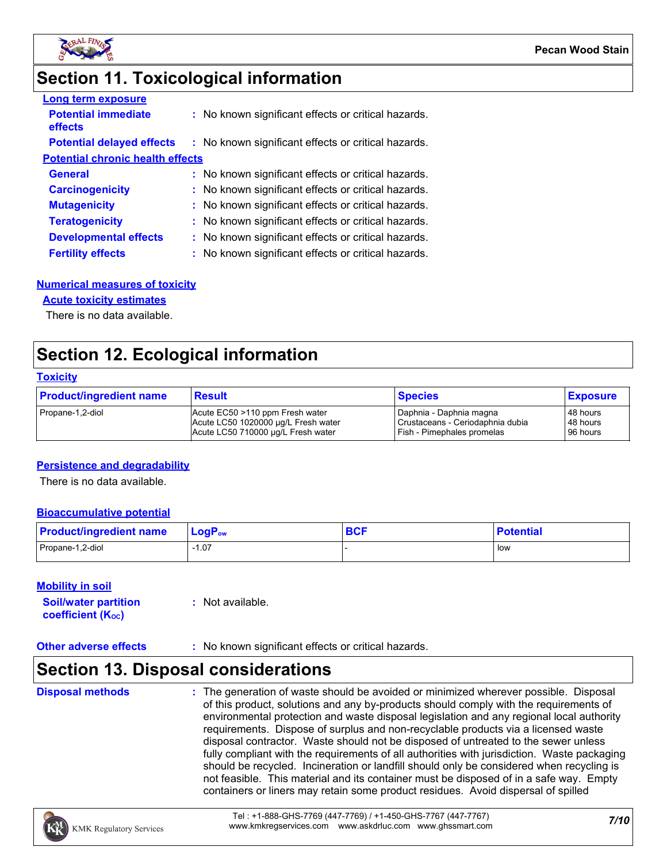

# **Section 11. Toxicological information**

| <b>Long term exposure</b>               |                                                     |
|-----------------------------------------|-----------------------------------------------------|
| <b>Potential immediate</b><br>effects   | : No known significant effects or critical hazards. |
| <b>Potential delayed effects</b>        | : No known significant effects or critical hazards. |
| <b>Potential chronic health effects</b> |                                                     |
| <b>General</b>                          | : No known significant effects or critical hazards. |
| <b>Carcinogenicity</b>                  | : No known significant effects or critical hazards. |
| <b>Mutagenicity</b>                     | : No known significant effects or critical hazards. |
| <b>Teratogenicity</b>                   | : No known significant effects or critical hazards. |
| <b>Developmental effects</b>            | : No known significant effects or critical hazards. |
| <b>Fertility effects</b>                | : No known significant effects or critical hazards. |

#### **Numerical measures of toxicity**

#### **Acute toxicity estimates**

There is no data available.

# **Section 12. Ecological information**

#### **Toxicity**

| <b>Product/ingredient name</b> | <b>Result</b>                       | <b>Species</b>                   | <b>Exposure</b> |
|--------------------------------|-------------------------------------|----------------------------------|-----------------|
| Propane-1,2-diol               | Acute EC50 >110 ppm Fresh water     | Daphnia - Daphnia magna          | 48 hours        |
|                                | Acute LC50 1020000 µg/L Fresh water | Crustaceans - Ceriodaphnia dubia | 48 hours        |
|                                | Acute LC50 710000 ug/L Fresh water  | Fish - Pimephales promelas       | 96 hours        |

#### **Persistence and degradability**

There is no data available.

#### **Bioaccumulative potential**

| <b>Product/ingredient name</b> | $LogPow$ | <b>DAC</b><br><b>DUI</b> | <b>Potential</b> |
|--------------------------------|----------|--------------------------|------------------|
| Propane-1,2-diol               | 07، ا    |                          | l low            |

#### **Mobility in soil**

| <b>Soil/water partition</b> | : Not available. |
|-----------------------------|------------------|
| <b>coefficient (Koc)</b>    |                  |

#### **Other adverse effects** : No known significant effects or critical hazards.

### **Section 13. Disposal considerations**

**Disposal methods :**

The generation of waste should be avoided or minimized wherever possible. Disposal of this product, solutions and any by-products should comply with the requirements of environmental protection and waste disposal legislation and any regional local authority requirements. Dispose of surplus and non-recyclable products via a licensed waste disposal contractor. Waste should not be disposed of untreated to the sewer unless fully compliant with the requirements of all authorities with jurisdiction. Waste packaging should be recycled. Incineration or landfill should only be considered when recycling is not feasible. This material and its container must be disposed of in a safe way. Empty containers or liners may retain some product residues. Avoid dispersal of spilled

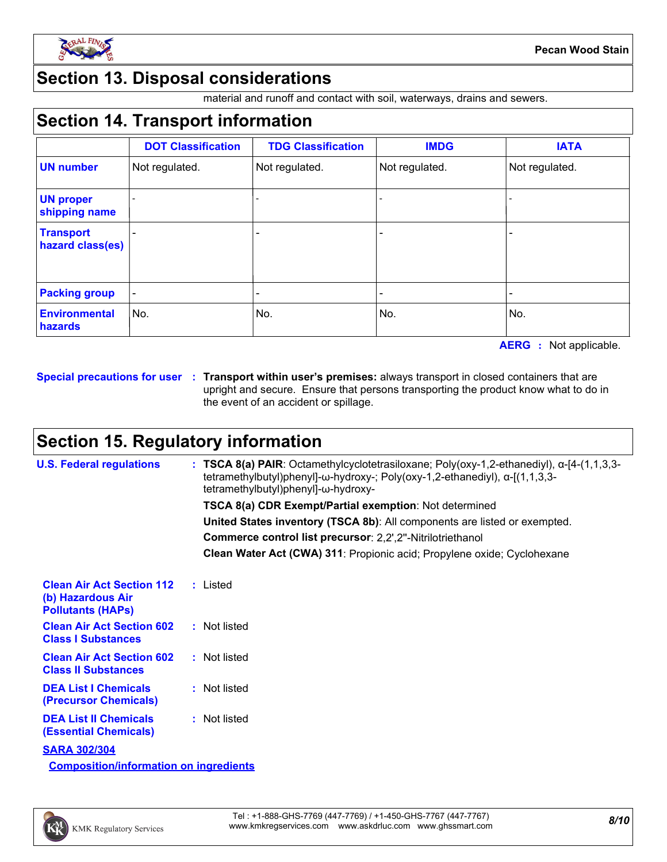

## **Section 13. Disposal considerations**

material and runoff and contact with soil, waterways, drains and sewers.

# **Section 14. Transport information**

|                                      | <b>DOT Classification</b> | <b>TDG Classification</b> | <b>IMDG</b>    | <b>IATA</b>    |
|--------------------------------------|---------------------------|---------------------------|----------------|----------------|
| <b>UN number</b>                     | Not regulated.            | Not regulated.            | Not regulated. | Not regulated. |
| <b>UN proper</b><br>shipping name    |                           |                           |                |                |
| <b>Transport</b><br>hazard class(es) |                           | -                         |                |                |
| <b>Packing group</b>                 |                           |                           |                |                |
| <b>Environmental</b><br>hazards      | No.                       | No.                       | No.            | No.            |

**AERG :** Not applicable.

**Special precautions for user Transport within user's premises:** always transport in closed containers that are **:** upright and secure. Ensure that persons transporting the product know what to do in the event of an accident or spillage.

# **Section 15. Regulatory information**

| <b>U.S. Federal regulations</b>                                                   | : TSCA 8(a) PAIR: Octamethylcyclotetrasiloxane; Poly(oxy-1,2-ethanediyl), $\alpha$ -[4-(1,1,3,3-<br>tetramethylbutyl)phenyl]- $\omega$ -hydroxy-; Poly(oxy-1,2-ethanediyl), $\alpha$ -[(1,1,3,3-<br>tetramethylbutyl)phenyl]-ω-hydroxy- |
|-----------------------------------------------------------------------------------|-----------------------------------------------------------------------------------------------------------------------------------------------------------------------------------------------------------------------------------------|
|                                                                                   | <b>TSCA 8(a) CDR Exempt/Partial exemption: Not determined</b>                                                                                                                                                                           |
|                                                                                   | United States inventory (TSCA 8b): All components are listed or exempted.                                                                                                                                                               |
|                                                                                   | Commerce control list precursor: 2,2',2"-Nitrilotriethanol                                                                                                                                                                              |
|                                                                                   | Clean Water Act (CWA) 311: Propionic acid; Propylene oxide; Cyclohexane                                                                                                                                                                 |
| <b>Clean Air Act Section 112</b><br>(b) Hazardous Air<br><b>Pollutants (HAPs)</b> | : Listed                                                                                                                                                                                                                                |
| <b>Clean Air Act Section 602</b><br><b>Class I Substances</b>                     | : Not listed                                                                                                                                                                                                                            |
| <b>Clean Air Act Section 602</b><br><b>Class II Substances</b>                    | : Not listed                                                                                                                                                                                                                            |
| <b>DEA List I Chemicals</b><br><b>(Precursor Chemicals)</b>                       | : Not listed                                                                                                                                                                                                                            |
| <b>DEA List II Chemicals</b><br><b>(Essential Chemicals)</b>                      | : Not listed                                                                                                                                                                                                                            |
| <b>SARA 302/304</b>                                                               |                                                                                                                                                                                                                                         |
| <b>Composition/information on ingredients</b>                                     |                                                                                                                                                                                                                                         |

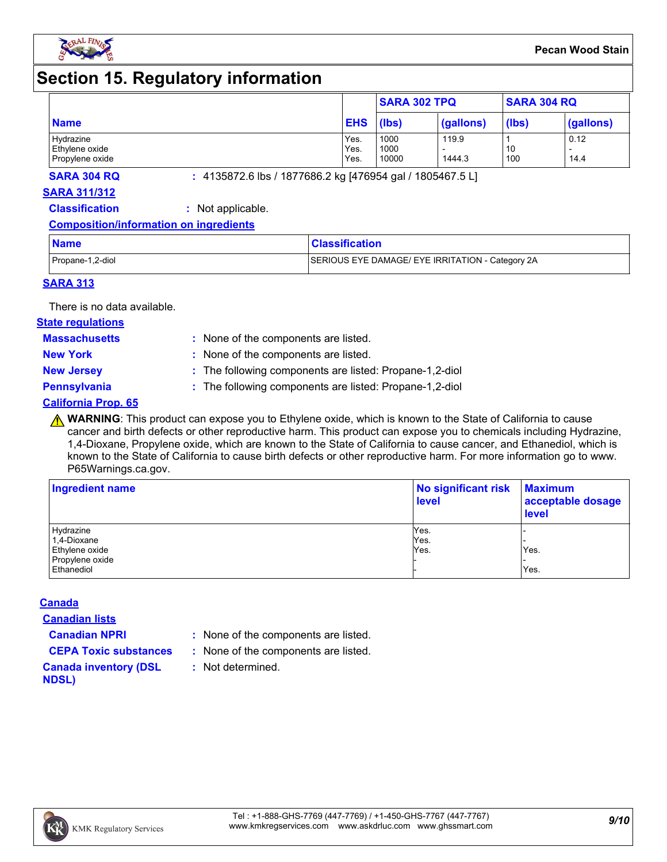

# **Section 15. Regulatory information**

|                 |            | <b>SARA 302 TPQ</b> |           | <b>SARA 304 RQ</b> |           |
|-----------------|------------|---------------------|-----------|--------------------|-----------|
| <b>Name</b>     | <b>EHS</b> | (lbs)               | (gallons) | (lbs)              | (gallons) |
| Hydrazine       | Yes.       | 1000                | 119.9     |                    | 0.12      |
| Ethylene oxide  | Yes.       | 1000                |           | 10                 |           |
| Propylene oxide | Yes.       | 10000               | 1444.3    | 100                | 14.4      |

**SARA 304 RQ :** 4135872.6 lbs / 1877686.2 kg [476954 gal / 1805467.5 L]

#### **SARA 311/312**

**Classification :** Not applicable.

#### **Composition/information on ingredients**

| <b>Name</b>      | <b>Classification</b>                            |
|------------------|--------------------------------------------------|
| Propane-1,2-diol | SERIOUS EYE DAMAGE/ EYE IRRITATION - Category 2A |

#### **SARA 313**

There is no data available.

#### **State regulations**

**Massachusetts :**

- : None of the components are listed. **New York :** None of the components are listed.
- 
- **New Jersey :** The following components are listed: Propane-1,2-diol

**Pennsylvania :** The following components are listed: Propane-1,2-diol

#### **California Prop. 65**

**A WARNING**: This product can expose you to Ethylene oxide, which is known to the State of California to cause cancer and birth defects or other reproductive harm. This product can expose you to chemicals including Hydrazine, 1,4-Dioxane, Propylene oxide, which are known to the State of California to cause cancer, and Ethanediol, which is known to the State of California to cause birth defects or other reproductive harm. For more information go to www. P65Warnings.ca.gov.

| Ingredient name | No significant risk<br><b>level</b> | <b>Maximum</b><br>acceptable dosage<br><b>level</b> |  |
|-----------------|-------------------------------------|-----------------------------------------------------|--|
| Hydrazine       | Yes.                                |                                                     |  |
| 1,4-Dioxane     | Yes.                                |                                                     |  |
| Ethylene oxide  | Yes.                                | Yes.                                                |  |
| Propylene oxide |                                     |                                                     |  |
| Ethanediol      |                                     | Yes.                                                |  |

#### **Canada**

**Canadian lists**

- **Canadian NPRI :** None of the components are listed.
- **CEPA Toxic substances :** None of the components are listed.
	- **:** Not determined.
- **Canada inventory (DSL NDSL)**